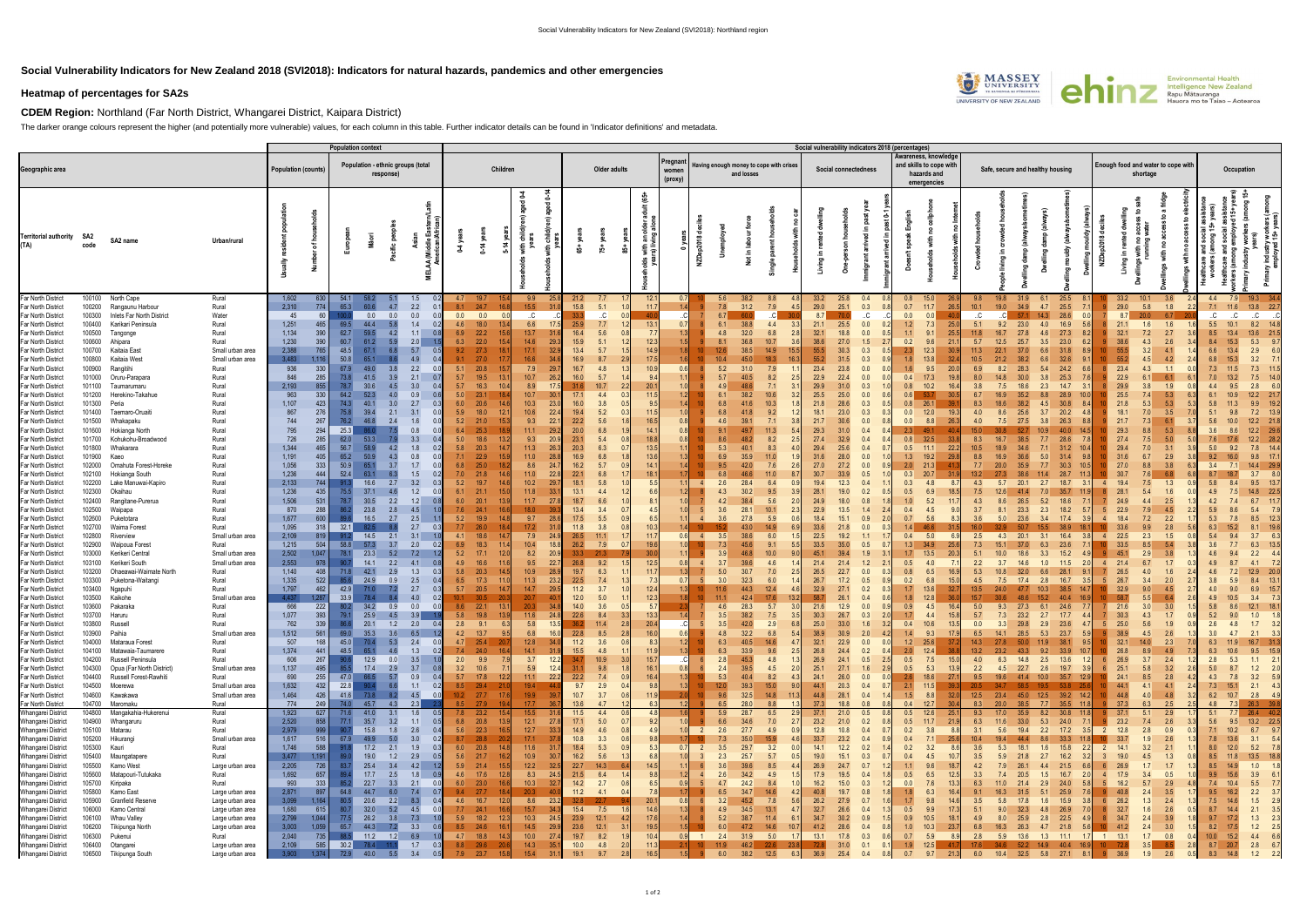## **Social Vulnerability Indicators for New Zealand 2018 (SVI2018): Indicators for natural hazards, pandemics and other emergencies**

## **Heatmap of percentages for SA2s**

**CDEM Region:** Northland (Far North District, Whangarei District, Kaipara District)

The darker orange colours represent the higher (and potentially more vulnerable) values, for each column in this table. Further indicator details can be found in 'Indicator definitions' and metadata.

|                                          |                  |                                           |                                      |                            |              | <b>Population context</b>                      |                            |                                            |            |                                             |                                |              |                       |                            |          |                                                                                      |                  |                              |      | Social vulnerability indicators 2018 (percentages) |                            |            |                                                                               |               |            |                                                |                                                |                |              |                   |            |                                |                   |                                |
|------------------------------------------|------------------|-------------------------------------------|--------------------------------------|----------------------------|--------------|------------------------------------------------|----------------------------|--------------------------------------------|------------|---------------------------------------------|--------------------------------|--------------|-----------------------|----------------------------|----------|--------------------------------------------------------------------------------------|------------------|------------------------------|------|----------------------------------------------------|----------------------------|------------|-------------------------------------------------------------------------------|---------------|------------|------------------------------------------------|------------------------------------------------|----------------|--------------|-------------------|------------|--------------------------------|-------------------|--------------------------------|
| Geographic area                          |                  |                                           |                                      | <b>Population (counts)</b> |              | Population - ethnic groups (total<br>response) |                            |                                            | Children   |                                             |                                |              | Older adults          |                            |          | Pregnan<br>Having enough money to cope with crises<br>women<br>and losses<br>(proxy) |                  |                              |      |                                                    | Social connectedness       |            | Awareness, knowledge<br>and skills to cope with<br>hazards and<br>emergencies |               |            | Safe, secure and healthy housing               | Enough food and water to cope with<br>shortage |                |              |                   | Occupation |                                |                   |                                |
| <b>Territorial authority</b><br>(TA)     | -SA2             | SA2 name                                  | Urban/rural                          |                            | ৳            |                                                |                            |                                            |            | 0-14 yea                                    |                                |              | ង់                    |                            |          |                                                                                      |                  |                              |      |                                                    |                            |            |                                                                               |               |            |                                                |                                                |                |              |                   |            |                                |                   |                                |
| Far North District                       |                  | 100100 North Cape                         | Rural                                | 1,602                      | 630          | - 54.1                                         |                            | 1.5                                        |            | 4.7 19.7                                    | 9.9<br>- 25.                   | 21.2         |                       | 12.1                       |          |                                                                                      | 5.6              | 8.8<br>38.2                  |      | 33.2<br>25.8                                       | 0.4                        | 0.8        | 15.0                                                                          | 9.8           | 19.8       | 31.9<br>6.1                                    | 25.5                                           |                | 33.2         | 10.1              | 3.6        | 4.4                            | 7.9<br>19.3       |                                |
| Far North District                       | 100200           | Rangaunu Harbour                          | Rural                                | 2,310                      | 774          | 65.3                                           | 4.7                        | 2.2                                        | 8.1        | 24.7<br>16.                                 | 15.5<br>31.                    | 15.8         | 5.1                   | 11.                        |          |                                                                                      | 7.8              | 31.2<br>7.9                  |      | 25.1<br>29.0                                       | 0.3                        | 0.7        | 11.7<br>26.5                                                                  | 10.1          | 19.0       | 34.9<br>4.7                                    | 25.5<br>7.                                     |                | 29.0         | 5.8               | 1.8        | 7.1                            | 13.8              | 22.7                           |
| Far North District                       | 100300           | Inlets Far North District                 | Water                                | 45                         | 60           |                                                | 0.0<br>0.0                 | 0.0                                        | 0.0        | 0.0                                         | $\cdot$ .C                     | 33.3         | .C.                   |                            |          |                                                                                      |                  | 60.0                         |      |                                                    | C                          | 0.0        | 0.0                                                                           | C             |            |                                                | 28.6                                           |                | 8.7          | 20.0              | 6.7        | C                              | C                 |                                |
| Far North District                       | 100400           | Karikari Peninsula                        | Rural                                | 1,251                      | 465          | 69.5                                           | 44.4                       | 1.4                                        |            | 4.6 18.0                                    | 6.6                            | 25.9         | 7.7                   | 13.                        |          |                                                                                      | 6.1              | 38.8<br>4.4                  |      | 21.1                                               | 0.0<br>25.5                | 1.2        | 7.3                                                                           | 5.1           | 9.2        | 23.0<br>4.0                                    | 16.9                                           |                | 21.1         | 1.6               | 1.6        | 5.5                            | 8.2               |                                |
| Far North District                       | 100500           | Tangonge                                  | Rural<br>Rural                       | 1,134<br>1,230             | 390<br>390   | 62.7<br>60.7                                   | 4.2<br>5.9                 | 1.1<br>0.8                                 | 6.9<br>6.3 | 22.2<br>22.0<br>-15                         | 13.7<br>14.6                   | 16.4<br>15.9 | 5.6<br>5.1            | 12.3                       |          |                                                                                      | 4.8              | 32.0<br>6.8<br>36.8<br>10.7  |      | 38.6                                               | 27.0                       | 0.2        | 9.6                                                                           |               |            | 25.7                                           |                                                |                | 32.7         | 2.7               | 2.6        |                                |                   |                                |
| Far North District<br>Far North District | 100600<br>100700 | Ahipara<br>Kaitaia East                   | Small urban area                     | 2,388                      | 765          | 48.5                                           | 61.2<br>6.8                | 2.0<br>5.7                                 | 9.2        | 27.3                                        | 29.3<br>17.1<br>32.5           | 13.4         | 5.7                   | 14.9                       |          |                                                                                      | 12.6             | 38.5<br>14.9                 |      |                                                    | 1.5<br>0.3                 |            |                                                                               | 5.7<br>11.3   | 12.5       | 3.5                                            | 23.0<br>31.8                                   |                | 38.6<br>55.5 | 4.3<br>4.1        |            | 6.6                            | 5.3<br>2.9        |                                |
| Far North District                       | 100800           | Kaitaia West                              | Small urban area                     | 3.483                      | 1.116        | 50.8                                           |                            | 4.9                                        | 9.1        | 27.0                                        | 16.6                           | 16.9         | 8.7                   | 17.5                       |          |                                                                                      | 10.4             |                              |      |                                                    |                            |            |                                                                               |               |            |                                                |                                                |                |              |                   | 4.2        |                                | 3.2               |                                |
| Far North District                       |                  | 100900 Rangitihi                          | Rural                                | 936                        | 330          | 67.9                                           | 3.8                        | 2.2                                        | 5.1        | 20.8<br>-15                                 | 7.9<br>29.                     | 16.7         | 4.8                   | 10.9                       | 06       |                                                                                      | 5.2              | 31.0<br>7.9                  |      | 23.4                                               | 0.0<br>23.8                | 1.6        | 9.5                                                                           | 6.9           |            | 28.3                                           | 24.2                                           |                | 23.4         | 4.3               | 1.1        | 7.3                            | 7.3               |                                |
| Far North District                       | 101000           | Oruru-Parapara                            | Rural                                | 846                        | 285          | 73.8                                           | 41.5<br>3.9                | 2.1                                        | 5.7        | 19.5<br>13                                  | 10.7<br>26.2                   | 16.0         | 5.7                   | 9.4                        |          |                                                                                      | 5.7              | 40.5<br>8.2                  |      | 22.9                                               | 0.0                        | 0.4        | 17.3                                                                          |               |            |                                                | 25.3                                           |                | 22.9         |                   | 6.1        |                                | 7.5               |                                |
| Far North District                       | 101100           | Taumarumaru                               | Rural                                | 2,193                      | 855          | 78.7                                           |                            | 3.0                                        | 5.7        | 16.3                                        | 17<br>8.9                      | 31.6         | 10.7                  | 20.1                       |          |                                                                                      |                  | 48.6<br>7.1                  |      | 29.9                                               | $0.\overline{3}$           |            | 10.2                                                                          |               |            |                                                | 14.7                                           |                | 29.9         |                   | 1.9        |                                |                   |                                |
| Far North District                       | 101200           | Herekino-Takahue                          | Rural                                | 963                        | 330          | 64.2                                           |                            | 0.9                                        | 5.0        | 23.1                                        | 10.7<br>-30                    | 17.1         | 4.4                   |                            |          |                                                                                      |                  | 10.6<br>38.2                 |      | 25.5                                               | 0.0<br>25.0                |            |                                                                               |               |            |                                                |                                                |                | 25.5         | 5.3               |            |                                |                   |                                |
| Far North District                       | 101300           | Peria                                     | Rural                                | 1,107                      | 423          | 74.3                                           | 3.0                        | 2.7                                        | 6.0        | 20.6                                        | 10.3<br>23                     | 16.0         | 3.8                   | 9.5                        |          |                                                                                      | 6.8              | 10.3<br>41.6                 |      | 21.8                                               | 0.3                        | 0.8        | 26.1                                                                          |               |            |                                                | 30.8                                           |                |              |                   | 5.3        |                                |                   |                                |
| Far North District<br>Far North District | 101400<br>101500 | Taemaro-Oruaiti<br>Whakapaku              | Rural<br>Rural                       | 867<br>744                 | 276<br>267   | 75.8<br>76.2                                   | 2.1<br>39.4<br>46.8<br>2.4 | 3.1<br>1.6                                 | 5.9<br>5.2 | 18.0<br>21.0                                | 10.6<br>22.4<br>9.3<br>22      | 19.4<br>22.2 | 5.2<br>5.6            | 16.5                       | $\Omega$ |                                                                                      | 6.8<br>4.6       | 9.2<br>41.8<br>7.1<br>39.1   |      | 18.1<br>21.7                                       | 0.3<br>23.0<br>0.0         | 0.0<br>0.0 | 12.0<br>8.8                                                                   | 4.0           |            | 25.6<br>3.7                                    | 20.2<br>26.3                                   |                | 18.1<br>21.7 | 3.5               | 6.1        |                                | 7.2<br>12.2       |                                |
| Far North District                       | 101600           | Hokianga North                            | Rural                                | 795                        | 294          | 25.3                                           |                            | 0.8                                        | 6.4        | 25.3                                        | 11.1<br>29.3                   | 20.0         | 6.8                   | 14                         |          |                                                                                      |                  | 11.3<br>49.7                 |      | 29.3                                               | 0.4                        | 2.3        |                                                                               |               |            |                                                |                                                |                |              |                   | 5.3        | 3.6                            | 12.2              |                                |
| Far North District                       | 101700           | Kohukohu-Broadwood                        | Rural                                | 726                        | 285          | 62.0                                           | 53.3                       | 3.3                                        | 5.0        | 18.6                                        | 9.3<br>20.9                    | 23.1         | 5.4                   | 18.8                       |          |                                                                                      | 8.6              | 8.2<br>48.2                  |      | 27.4                                               | 0.4                        | 0.8        | 32.5                                                                          | 8.3           | 16.7       |                                                |                                                |                | 27.4         |                   | 5.0        | 7.6                            | 12.2              |                                |
| Far North District                       | 101800           | Whakarara                                 | Rural                                | 1,344                      | 465          | 56.7                                           |                            | 1.8                                        | 5.8        | 20.3                                        | 11.3<br>26                     | 20.3         | 6.3                   | 13.5                       |          |                                                                                      | 5.3              | 8.3<br>40.                   |      | 29.4                                               | 25.6<br>0.4                | 0.5        | 22.2                                                                          |               |            |                                                | 31.2                                           |                | 29.4         | 3.1               |            | 5.0                            | 7.8               |                                |
| Far North District                       | 101900           | Kaeo                                      | Rural                                | 1,191                      | 405          | 65.2                                           | 4.3                        | 0.8                                        | 7.1        | 22.9                                        | 11.0                           | 16.9         | 6.8                   |                            |          |                                                                                      | 6.9              | 35.9<br>11.0                 |      | 31.6                                               | 0.0                        | 1.3        | 19.2                                                                          |               |            |                                                | 31.4                                           |                |              |                   | 2.9        |                                |                   |                                |
| Far North District                       | 102000           | Omahuta Forest-Horeke                     | Rural                                | 1,056                      | 333          | 50.9                                           | 3.7                        | 1.7                                        | 6.8        | 25.0                                        | 8.6<br>-24                     | 16.2         | 5.7                   | 14                         |          |                                                                                      | 9.5              | 7.6<br>42.0                  |      | 27.0                                               | 0.0                        | 2.0        | 21.3                                                                          |               | 20.0       |                                                | 30.3                                           |                |              |                   | 3.8        | 3.4                            | 14.4              | 29.9                           |
| Far North District                       |                  | 102100 Hokianga South                     | Rural                                | 1,236                      | 444          | 52.4                                           | 631                        | 1.5                                        | 7.0        | 21.8                                        | 11.0<br>22.1                   | 22.1         | 6.8                   | 18.                        |          |                                                                                      |                  | 11.0                         |      | 30.7                                               |                            | 0.3        | 20.7                                                                          |               |            |                                                |                                                |                |              |                   | 6.8        |                                | 3.7               |                                |
| Far North District<br>Far North District | 102300           | 102200 Lake Manuwai-Kapiro<br>Okaihau     | Rural<br>Rural                       | 2,133<br>1,236             | 744<br>435   | 75.5                                           | 2.7<br>16.6<br>37.1        | 3.2<br>1.2                                 | 5.2<br>6.1 | 19.7<br>21.1                                | 10.2<br>29<br>11.8<br>-33      | 18.1<br>13.1 | 5.8<br>4.4            | 5.5<br>6.6                 |          |                                                                                      |                  | 28.4<br>6.4<br>30.2<br>9.5   |      | 19.4<br>28.1                                       | 0.4<br>12.3<br>0.2         | 0.3<br>0.5 | 4.8<br>6.9                                                                    | 4.3           |            | 2.7                                            | 18.7<br>35.7                                   |                |              |                   | 1.3<br>1.6 | 5.8<br>4.9                     | 14.8              | 22.5                           |
| Far North District                       |                  | 102400 Rangitane-Purerua                  | Rural                                | 1,506                      | 531          |                                                | 30.5<br>2.2                | 1.2                                        | 6.0        | 20.1                                        | 11.7<br>27                     | 18.7         | 6.6                   |                            |          |                                                                                      |                  | 5.6                          |      | 24.9                                               |                            |            | 5.2                                                                           |               |            |                                                |                                                |                |              | 2.5               |            |                                |                   |                                |
| Far North District                       | 102500           | Waipapa                                   | Rural                                | 870                        | 288          |                                                | 23.8<br>2.8                | 4.5                                        | 7.6        | 24.1                                        | 18.0                           | 13.4         | 3.4                   |                            |          |                                                                                      | 3.6              | 28.1<br>10.1                 |      | 22.9                                               | 13.5                       | 0.4        | 4.5                                                                           | 3.7           |            | 23.3<br>2.3                                    | 18.2                                           |                |              |                   | 4.5        |                                |                   |                                |
| Far North District                       | 102600           | Puketotara                                | Rural                                | 1,677                      | 600          |                                                | 16.5<br>2.7                | 2.5                                        | 5.2        | 19.9                                        | 9.7<br>28                      | 17.5         | 5.5                   | 6.5                        |          |                                                                                      |                  | 27.8<br>5.9                  |      | 18.4                                               |                            | 0.7        | 5.6                                                                           | 3.6           | 5.0        |                                                | 17.4                                           |                |              |                   | 2.2        |                                |                   |                                |
| Far North District                       | 102700           | Waima Forest                              | Rural                                | 1,095                      | 318          | 32.1                                           |                            | 2.7                                        | 7.7        | 26.0                                        | 17.2<br>31                     | 11.8         | 3.8                   | 10.3                       |          |                                                                                      |                  |                              |      |                                                    |                            |            |                                                                               |               |            |                                                |                                                |                |              |                   | 2.8        |                                |                   |                                |
| Far North District                       | 102800           | Riverview                                 | Small urban area                     | 2,109                      | 819          |                                                | 2.1<br>14.5                | 3.1                                        | 4.1        | 18.6                                        | 7.9<br>24.5                    | 26.5         | 11.1                  | 11.                        |          |                                                                                      | 3!               | 38.6<br>6.0                  |      | 22.5                                               | 19.2                       | 0.4        | 5.0                                                                           | 2.5           | 4.3        |                                                | 16.4                                           |                | 22.5         | 2.3               | 1.5        |                                |                   |                                |
| Far North District                       | 102900           | Waipoua Forest                            | Rural                                | 1,215<br>2,502             | 504<br>1,047 | 58.8<br>78.1                                   | 57.3<br>3.7                | 2.0                                        | 6.9        | 18.3                                        | 10.4<br>18.                    | 26.2<br>33.3 | 7.9<br>21.3           | 19.6<br>30.                |          |                                                                                      |                  | 45.6<br>9.1<br>10.0          |      | 33.5                                               | 0.5<br>1.9                 | 1.3        | 34.9                                                                          |               |            |                                                |                                                |                |              |                   | 3.8        | 3.6                            |                   |                                |
| Far North District<br>Far North District | 103000           | Kerikeri Central<br>103100 Kerikeri South | Small urban area<br>Small urban area | 2,553                      | 978          |                                                | 23.3<br>14.1<br>2.2        | 7.2<br>4.1                                 | 5.2<br>4.9 | 17.1<br>16.6                                | 8.2<br>20.9<br>9.5<br>22.      | 26.8         | 9.2                   | 12.5                       |          |                                                                                      |                  | 39.6<br>4.6                  |      | 45.1<br>21.4                                       | 1.2                        | 0.5        | 13.5<br>4.0                                                                   | $2.2^{\circ}$ | -37        |                                                | 15.2<br>11.5                                   |                |              |                   | 17         |                                |                   |                                |
| Far North District                       | 103200           | Ohaeawai-Waimate North                    | Rural                                | 1,140                      | 408          | 71.8                                           | 42.1<br>2.9                | 1.3                                        | 5.8        | 20.3                                        | 10.9<br>28                     | 19.7         | 6.3                   |                            |          |                                                                                      |                  | 30.7<br>7.0                  |      | 26.5                                               | 0.0                        | 0.8        | 6.5                                                                           |               |            |                                                |                                                |                |              |                   |            | 4.6                            |                   |                                |
| Far North District                       |                  | 103300 Puketona-Waitangi                  | Rural                                | 1,335                      | 522          |                                                | 24.9<br>0.9                | 2.5                                        | 6.5        | 17.3                                        | 11.3<br>23.3                   | 22.5         | 7.4                   | 7:                         | $\Omega$ |                                                                                      | $\overline{3}$ ( | 32.3<br>6.0                  |      | 26.7                                               | 0.5                        | 0.2        | 6.8                                                                           |               |            |                                                | 16.7                                           |                | 26.          | 2.0               |            |                                |                   |                                |
| Far North District                       |                  | 103400 Ngapuhi                            | Rural                                | 1,797                      | 462          | 42.9                                           |                            | 2.7                                        | 5.7        | 20.5                                        | 14.7<br>29.5                   | 11.2         | 3.7                   | 12.4                       |          |                                                                                      |                  | 12.4                         |      | 32.9                                               | 0.2                        |            | 13.6                                                                          |               |            |                                                |                                                |                |              |                   | 4.5        |                                |                   |                                |
| Far North District                       | 103500           | Kaikohe                                   | Small urban area                     | 4.437                      | 1.287        | 33.9                                           |                            | 4.0                                        | 10.1       | 30.5                                        | 20.7                           | $12.0$       | 5.0                   | 12.3                       |          |                                                                                      |                  | 17.6<br>، 42                 |      |                                                    |                            | 1.8        | 12.8                                                                          |               |            |                                                |                                                |                |              |                   |            |                                |                   |                                |
| Far North District                       | 103600           | Pakaraka                                  | Rural                                | 666                        | 222          | 80.2                                           | 34.2<br>0.9                | 0.0<br>0.0                                 | 8.6        | 22.1<br>-13                                 | 20.3                           | 14.0         | 3.6                   | 5.7                        |          |                                                                                      |                  | 28.3<br>5.7                  |      | 21.6                                               | 0.0<br>12.9                | 0.9        | 4.5                                                                           | 5.0           |            |                                                | 24.6                                           |                |              | 3.0               |            | 5.8                            | 12.1              |                                |
| Far North District                       | 103700           | Haruru                                    | Rural                                | 1.077                      | 393          | 79.1                                           | 25.9<br>4.5                | 3.9                                        | 5.8        | 19.8                                        | 11.6<br>24.1                   | 22.6<br>36.2 | 8.4                   | 13.3                       |          |                                                                                      |                  | 38.2<br>7.5                  |      | 30.3                                               | 0.3<br>26.7                | 1.7        | 4.4                                                                           | 5.7           | 7.3        | 23.2<br>2.7                                    | 17.7                                           |                |              |                   | 1.7        | 5.2                            |                   |                                |
| Far North District<br>Far North District | 103800<br>103900 | Russell<br>Paihia                         | Rural<br>Small urban area            | 762<br>1,512               | 339<br>561   | 69.0                                           | 20.1<br>1.2<br>35.3<br>3.6 | 2.0<br>0.4<br>6.5                          | 2.8<br>4.2 | 9.1<br>13.7                                 | 5.8<br>6.8<br>16.0             | 22.8         | 11.4<br>8.5           | 16.0                       |          |                                                                                      | 4.8              | 42.0<br>2.9<br>32.2<br>6.8   |      | 25.0<br>33.0<br>38.9<br>30.9                       | 1.6<br>2.0                 | 0.4<br>1.4 | 10.6<br>9.3                                                                   | 0.0<br>6.5    | 14.1       | 29.8<br>2.9<br>28.5<br>5.3                     | 23.6<br>23.7                                   |                | 25.0<br>38.9 | 5.6<br>4.5        | 1.9<br>2.6 | 2.6<br>3.0                     | 1.7<br>2.1        |                                |
| Far North District                       |                  | 104000 Mataraua Forest                    | Rural                                | 507                        | 168          | 45.0                                           | 5.3<br>70.4                | 2.4                                        | 4.7        | 25.4                                        | 12.8                           | 11.2         | 3.6                   | 0.6                        |          |                                                                                      |                  | 40.5<br>14.6                 |      | 22.9                                               | 0.0                        | 1.2        | 25.6<br>37.2                                                                  | 14.3          | 27.8       | 50.0<br>11.9                                   | 38.1                                           |                |              | 14.0              | 2.3        | 6.3                            | 11.9 16.7 31.3    |                                |
| Far North District                       |                  | 104100 Matawaia-Taumarere                 | Rural                                | 1,374                      | 441          | 48.5                                           | 65.1<br>4.6                | 1.3<br>0.2                                 |            | $7.4$ 24.0<br>16.                           | 14.1<br>31.9                   | 15.5         | 4.8                   | 11.9                       |          |                                                                                      | 6.3              | 33.9<br>9.6                  |      | 26.8                                               | 24.4<br>0.2                | 2.0        | 12.4<br>38.8                                                                  | 13.2          | 23.2       | 43.3<br>9.2                                    | 33.9<br>10.7                                   |                | 26.8         | 8.9 <sub>1</sub>  | 4.9        | 6.3                            | 10.6 9.5 15.9     |                                |
| Far North District                       |                  | 104200 Russell Peninsula                  | Rural                                | 606                        | 267          | 90.6                                           | 0.0<br>12.9                | 3.5<br>$-1.0$                              |            | $2.0\qquad 9.9$                             | 3.7<br>12.2                    | 34.7         | 10.9                  | 15.7<br>3.0 <sup>1</sup>   |          |                                                                                      | 2.8              | 45.3<br>4.8                  |      | 26.9<br>24.1                                       | 0.5                        | 0.5        | 7.5 15.0                                                                      | 4.0           | 6.3        | 14.8 2.5 13.6                                  |                                                |                | 26.9         | 3.7               | 2.4        | 2.8                            | $5.3$ $1.1$ $2.1$ |                                |
| Far North District                       |                  | 104300 Opua (Far North District)          | Small urban area                     | 1,137                      | 495          | 85.5                                           | 17.4<br>2.9                | 3.7<br>0.8                                 | $3.2$ 10.6 |                                             | 5.9<br>12.4                    | 31.1         | 9.8                   | 16.1<br>1.8                | 0.8      |                                                                                      | 2.4              | 39.5<br>4.5                  |      | 25.1<br>27.1                                       | 1.6                        | 0.5        | 5.3<br>13.9                                                                   | 2.2           |            | 4.5 22.7 2.6 19.7                              | - 3.                                           |                | 25.1         | 5.8               | 3.2        | 5.0<br>8.7                     |                   | $1.2$ $2.0$                    |
| Far North District                       |                  | 104400 Russell Forest-Rawhiti             | Rural                                | 690<br>1,632               | 255<br>432   | 47.0 66.5<br>22.8                              | 5.7<br>90.4<br>6.6         | 0.9<br>0.4                                 |            | 5.7 17.8 12.2                               | 11.1<br>- 22.2<br>19.4<br>- 44 | 22.2<br>9.7  | 7.4<br>2.9            | 0.9<br>16.4<br>0.4         |          |                                                                                      | 5.3<br>12.0      | 40.4<br>8.2<br>39.3<br>15.0  |      | 24.1<br>44.1<br>20.3                               | 0.0<br>26.0<br>0.4         | 2.6        | 18.6<br>27.1<br>11.5<br>39.3                                                  | 9.5<br>20.5   |            | 19.6 41.4 10.0 35.7 12.9<br>58.5 19.5          | $53.8$ 25.                                     |                | 24.1<br>44.1 | 8.5<br>4.1        | 2.8<br>4.1 | 4.3<br>7.8<br>7.3 15.1 2.1 4.3 |                   | $3.2$ $5.9$                    |
| Far North District<br>Far North District |                  | 104500 Moerewa<br>104600 Kawakawa         | Small urban area<br>Small urban area | 1,464                      | 426          | 41.6                                           | 73.8<br>8.2                | 1.1<br>0.2<br>$4.5\qquad 0.0$              |            | 8.5 29.4 21.<br>$10.2$ 27.7 17.6            | 19.9<br>39.                    | 10.7         | 3.7                   | 9.8<br>0.6<br>11.9         |          |                                                                                      | 9.6              | 32.5<br>14.8                 | 11.3 | 44.8<br>28.1                                       | 0.4                        | 2.1<br>1.5 | 8.8<br>32.0                                                                   |               | -34.7      | 12.5 23.4 45.0 12.5 39.2 14.2                  |                                                |                | 44.8         | 4.0               | 4.8        | 6.2 10.7 2.8 4.9               |                   |                                |
| Far North District                       |                  | 104700 Maromaku                           | Rural                                | 774                        | 249          | 74.0 45.7                                      | 4.3                        | 2.3                                        |            | 8.5 27.9                                    | 17.7                           | 13.6         | 4.7                   |                            |          |                                                                                      | 6.5              | 28.0<br>8.8                  |      | 37.3                                               | 18.8<br>0.8                | 0.4        | 12.7<br>30.4                                                                  | 8.3           | 20.0       | 38.5<br>7.7                                    | 35.5 11.                                       |                | 37.3         | 2.5<br>6.3        |            | 4.8 7.3 26.3 39.8              |                   |                                |
| Whangarei District                       |                  | 104800 Mangakahia-Hukerenui               | Rural                                | 1,923                      | 627          | 71.6                                           | 41.0<br>3.1                | 1.6<br>0.5                                 |            | 7.8 23.2 15.                                | 15.5<br>- 31.                  | 11.5         | 4.4                   | 4.8<br>0.6                 |          |                                                                                      | 5.9              | 28.7<br>6.5                  |      | 37.1<br>21.0                                       | 0.5                        | 0.5        | 12.6<br>25.1                                                                  | 9.3           | 17.0       | 35.9<br>8.2                                    | $30.8$ 11.8                                    |                | 37.1         | 5.1<br>2.9        |            | 5.1                            | $7.7$ 26.4 40.2   |                                |
| Whangarei District                       |                  | 104900 Whangaruru                         | Rural                                | 2,520                      | 858          | 77.1                                           | 35.7<br>3.2                | 1.1<br>0.5                                 |            | 6.8 20.8<br>- 13.9                          | 12.1<br>27.8                   | 17.1         | 5.0                   | 9.2                        |          |                                                                                      | 6.6              | 34.6<br>7.0                  |      | 23.2<br>21.0                                       | 0.2                        |            | $0.5$ 11.7<br>21.9                                                            | 6.3           | 11.6       | 33.0<br>5.3                                    | 24.0<br>7.                                     |                | 23.2         | 2.6<br>7.4        |            | 5.6 9.5 13.2 22.5              |                   |                                |
| Whangarei District                       |                  | 105100 Matarau                            | Rural                                | 2,979                      | 999          | 90.7                                           | 1.8<br>15.8                | 2.6<br>0.4                                 |            | 5.6 22.3 16.5                               | 12.7<br>33.3                   | 14.9         | 4.6                   | 0.8                        |          | -2                                                                                   | 2.6              | 27.7<br>4.9                  |      | 12.8                                               | 10.8<br>0.4                | 0.2        | 3.8<br>8.8                                                                    | 3.1           | 5.6        | $2.2$ 17.2<br>19.4                             | - 3.5                                          | $\overline{2}$ | 12.8         | 2.8               | 0.9        | 7.1<br>10.2                    |                   | 6.7 9.7                        |
| Whangarei District                       |                  | 105200 Hikurangi                          | Small urban area                     | 1,617                      | 516          | 67.9                                           | 49.9<br>5.0                | 3.0<br>0.2                                 |            | 8.7 28.8 20.2                               | 17.1<br>37.8                   | 10.8         | 3.3                   | 0.6<br>9.8<br>0.9          | 0.7      |                                                                                      |                  | 15.9<br>35.0                 |      | 33.7<br>23.2                                       | 0.4                        | 0.4        | 7.1<br>25.6                                                                   | 10.4          | 19.4       | 44.4<br>8.6                                    | 33.3                                           |                | 33.7         | 1.9               | 2.6        | 7.8<br>13.6                    |                   | $3.1$ $5.4$                    |
| Whangarei District<br>Whangarei District |                  | 105300 Kauri<br>105400 Maungatapere       | Rural<br>Rural                       | 1,746<br>3,477             | 588<br>1,191 | 91.8<br>89.0                                   | 17.2<br>19.0<br>1.2        | $2.1$ 1.9<br>0.3<br>2.9<br>0.5             |            | $6.0\qquad 20.8$<br>- 14.8<br>5.6 21.7 16.2 | 11.6<br>31.7<br>10.9<br>30.7   | 18.4<br>16.2 | 5.3<br>5.6            | 5.3<br>6.8                 |          | $\overline{2}$                                                                       | 3.5<br>2.3       | 3.2<br>29.7<br>25.7<br>5.7   |      | 14.1<br>19.0<br>15.1                               | 0.2<br>12.2<br>0.3         | 0.2<br>0.4 | 3.2<br>8.6<br>4.5<br><b>10.7</b>                                              | 3.6<br>3.5    | 5.3<br>5.9 | 18.1<br>1.6<br>21.8<br>2.7                     | 15.8<br>16.2                                   |                | 14.1         | 3.2               | 2.1<br>1.3 | 8.0<br>12.0<br>8.5             | 11.8 13.5 18.8    | $5.2$ 7.8                      |
| Whangarei District                       |                  | 105500 Kamo West                          | Large urban area                     | 2,205                      | 726          | 83.7                                           | 25.4                       | $3.4$ $4.2$ $1.2$                          |            | 5.9 21.4 15.5                               | 12.2<br>32.5                   |              | 22.7 14.3             | 14.5                       |          | - 6                                                                                  | 3.6              | 39.6<br>8.5                  |      | 26.9                                               | 0.7<br>24.7                | 1.1        | 9.6<br>18.7                                                                   | 4.2           |            | 26.1<br>4.4                                    | 21.5                                           |                | 26.9         |                   | 1.7        | 8.5<br>14.9                    |                   | $1.0$ $1.8$                    |
| Whangarei District                       |                  | 105600 Matapouri-Tutukaka                 | Rural                                | 1,692                      | 657          | - 89.4                                         | 17.7                       | 2.5 1.8 0.9                                |            | 4.6 17.6<br>12.8                            | 8.3<br>24.5                    | 21.5         | 6.4                   | 9.8                        |          |                                                                                      | 2.6              | 34.2<br>4.9                  |      | 17.9                                               | 19.5<br>0.4                | 0.5        | 6.5<br>12.5                                                                   | 3.3           | 7.4        | 20.5<br>1.5                                    | 16.7                                           |                | 17.9         | 0.5               |            | 9.9                            |                   | $3.9$ 6.1                      |
| Whangarei District                       |                  | 105700 Kiripaka                           | Rural                                | 993                        | 333          | 85.2                                           | 22.7<br>3.3                | $2.1\qquad 0.0$                            |            | 6.0 23.0 16.6                               | 10.3<br>32.7                   | 14.2         | 2.7                   | 0.6<br>6.5                 |          |                                                                                      | 4.7              | 24.2<br>8.4                  |      | 16.2                                               | 15.0<br>0.3                | 0.0        | 7.6<br>13.3                                                                   | 6.3           | 11.0       | 21.4<br>2.9                                    | 24.0                                           |                | 16.2         | 2.9<br>57         |            | 7.4<br>10.4                    |                   | $5.5$ 7.7                      |
| Whangarei District                       |                  | 105800 Kamo East                          | Large urban area                     | 2,871                      | 897          | 64.8                                           | 44.7                       | $6.0$ $7.4$ $0.7$                          |            | $9.4$ 27.7 18.4                             | 20.3<br>$-40.0$                |              | $11.2$ 4.1            | 0.4<br>7.8                 |          |                                                                                      | 6.5              | 34.7<br>14.6                 |      | 40.8                                               | 0.8<br>19.7                | 1.8        | 6.3<br>16.4                                                                   | 9.1           | 16.3       | 31.5<br>5.1                                    | 25.9                                           |                | 40.8         | 2.4               | 3.5        | 9.5<br>16.2                    |                   | $2.2$ $3.7$                    |
| Whangarei District                       |                  | 105900 Granfield Reserve                  | Large urban area                     | 3,099                      | 1,164        | 80.5                                           | $20.6$ 2.2 8.3             | 0.4                                        |            | 4.6 16.7<br>$-12.0$                         | 23.2<br>8.6                    |              | $32.8$ 22.7           | 20.1                       | 0.8      |                                                                                      | 3.2              | 45.2<br>7.8                  |      | 26.2<br>27.9                                       | 0.7                        | 1.7        | 9.8<br>14.6                                                                   | 3.5           | 5.8        | 17.8<br>1.6                                    | 15.9                                           |                | 26.2         | 1.3               | 2.4        | 7.5<br>14.6                    |                   | $1.5$ 2.9                      |
| Whangarei District<br>Whangarei District |                  | 106000 Kamo Central<br>106100 Whau Valley | Large urban area<br>Large urban area | 1,680<br>2,799             | 615<br>1,044 | 80.7<br>77.5                                   |                            | $32.0$ $5.2$ $4.5$ 0.0<br>26.2 3.8 7.3 1.0 |            | 7.7 24.1 16.6<br>5.9 18.2 12.3              | 15.7<br>34.3<br>10.3<br>24.5   |              | 15.4 7.5<br>23.9 12.1 | 14.6<br>1.6<br>4.2<br>17.6 |          |                                                                                      | 4.9<br>5.2       | 34.5<br>13.1<br>38.7<br>11.4 |      | 32.7<br>34.7                                       | 26.6<br>0.4<br>0.9<br>30.2 | 0.5<br>0.9 | 9.9<br>17.3<br>10.5<br>18.1                                                   | 5.1<br>4.9    | 9.0<br>8.0 | 32.3<br>4.8<br>$2.8$ 22.5<br>25.9              | 26.9<br>7.0                                    |                | 32.7<br>34.7 | 1.6<br>3.9<br>2.4 | 2.6        | 8.7<br>14.4<br>9.7             |                   | $2.1\qquad 3.5$<br>$1.3$ $2.3$ |
| Whangarei District                       |                  | 106200 Tikipunga North                    | Large urban area                     | 3,003                      | 1,059        | 65.7                                           |                            | 44.3 7.2 3.3 0.6                           |            | 8.5 24.6 16.1                               | 14.5<br>29.9                   | 23.6         | 12.1                  | 19.5<br>3.11               |          |                                                                                      | 6.0              | 47.2<br>14.6                 | 10.7 | 41.2                                               | 0.4<br>28.6                | 0.81       | $1.0$ 10.3<br>23.7                                                            | 6.8 16.3      |            | 26.3 4.7 21.8                                  | 5.6                                            | $-10$          | 41.2         | $2.4\qquad 3.0$   | 1.5        | 8.2<br>17.5                    |                   | $1.2$ 2.5                      |
| Whangarei District                       |                  | 106300 Pukenui                            | Rural                                | 2,040                      | 735          | 88.5                                           | 11.2                       | $1.2$ 6.9 1.0                              |            | 4.7 18.8 14.3                               | 10.0<br>27.4                   | 19.7         | 8.2                   | 10.4                       |          |                                                                                      | 2.4              | 5.0<br>31.9                  |      | 13.1                                               | 17.8<br>0.3                | 0.7        | 5.9<br>8.9                                                                    | 2.8           | 5.9        | $13.6$ $1.3$ $11.1$                            | 1.7                                            |                | $1 \t 13.1$  | $1.7$ 0.8         | 0.4        | $10.0$ $15.2$                  |                   | 4.4 6.6                        |
| Whangarei District                       |                  | 106400 Otangarei                          | Large urban area                     | 2,109                      | 585          | 30.2                                           | 78.4 11.1                  | $1.7$ 0.3                                  | 8.8 29.6   | 20.6                                        | 14.3<br>35.1                   | 10.0         | 4.8                   | 2.0<br>11.3                |          |                                                                                      | 11.9             | 46.2<br>22.6                 |      | 31.0<br>72.8                                       | 0.1<br>0.1                 |            | $1.9$ $12.5$ $41.7$                                                           |               |            | 17.6 34.6 52.2 14.9 40.4 16.9                  |                                                |                | 10 72.8      | $3.5$ $8.5$       | 2.8        | $8.7$ 20.7                     |                   | $2.8\qquad 6.7$                |
| Whangarei District                       |                  | 106500 Tikipunga South                    | Large urban area                     |                            |              |                                                |                            | 3,903 1,374 72.9 40.0 5.5 3.4 0.5          |            | $7.9$ 23.7 15.8                             | 15.4<br>31.1                   | 19.1         | 9.7                   | 2.8<br>16.5                |          |                                                                                      | 6.0              | 38.2 12.5                    | 6.31 | 36.9                                               | $25.4$ 0.4 0.8             |            |                                                                               |               |            | 0.7 9.7 21.3 6.0 10.4 32.5 5.8 27.1 8.1 9 36.9 |                                                |                |              | $1.9$ 2.6         | 0.5        | 8.3 14.8 1.2 2.2               |                   |                                |





<u>Environmental Health</u><br>Intelligence New Zealand<br>Rapu Mätauranga<br>Hauora mo te Taiao – Aotearoa